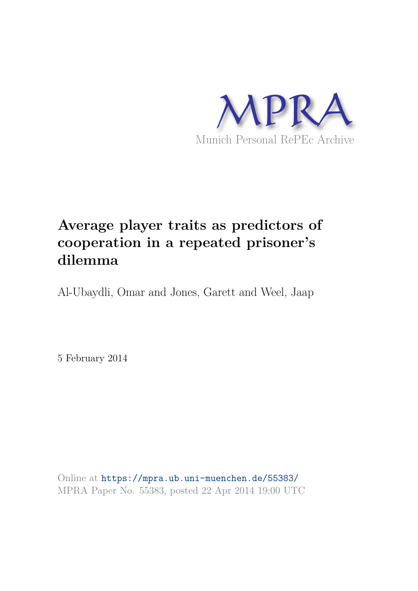

# **Average player traits as predictors of cooperation in a repeated prisoner's dilemma**

Al-Ubaydli, Omar and Jones, Garett and Weel, Jaap

5 February 2014

Online at https://mpra.ub.uni-muenchen.de/55383/ MPRA Paper No. 55383, posted 22 Apr 2014 19:00 UTC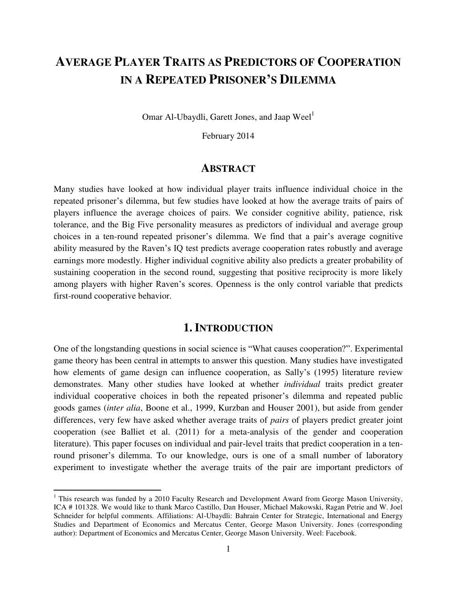## **AVERAGE PLAYER TRAITS AS PREDICTORS OF COOPERATION IN A REPEATED PRISONER'S DILEMMA**

Omar Al-Ubaydli, Garett Jones, and Jaap Weel $^1$ 

February 2014

#### **ABSTRACT**

Many studies have looked at how individual player traits influence individual choice in the repeated prisoner's dilemma, but few studies have looked at how the average traits of pairs of players influence the average choices of pairs. We consider cognitive ability, patience, risk tolerance, and the Big Five personality measures as predictors of individual and average group choices in a ten-round repeated prisoner's dilemma. We find that a pair's average cognitive ability measured by the Raven's IQ test predicts average cooperation rates robustly and average earnings more modestly. Higher individual cognitive ability also predicts a greater probability of sustaining cooperation in the second round, suggesting that positive reciprocity is more likely among players with higher Raven's scores. Openness is the only control variable that predicts first-round cooperative behavior.

#### **1. INTRODUCTION**

One of the longstanding questions in social science is "What causes cooperation?". Experimental game theory has been central in attempts to answer this question. Many studies have investigated how elements of game design can influence cooperation, as Sally's (1995) literature review demonstrates. Many other studies have looked at whether *individual* traits predict greater individual cooperative choices in both the repeated prisoner's dilemma and repeated public goods games (*inter alia*, Boone et al., 1999, Kurzban and Houser 2001), but aside from gender differences, very few have asked whether average traits of *pairs* of players predict greater joint cooperation (see Balliet et al. (2011) for a meta-analysis of the gender and cooperation literature). This paper focuses on individual and pair-level traits that predict cooperation in a tenround prisoner's dilemma. To our knowledge, ours is one of a small number of laboratory experiment to investigate whether the average traits of the pair are important predictors of

 $\overline{a}$ 

<sup>&</sup>lt;sup>1</sup> This research was funded by a 2010 Faculty Research and Development Award from George Mason University, ICA # 101328. We would like to thank Marco Castillo, Dan Houser, Michael Makowski, Ragan Petrie and W. Joel Schneider for helpful comments. Affiliations: Al-Ubaydli: Bahrain Center for Strategic, International and Energy Studies and Department of Economics and Mercatus Center, George Mason University. Jones (corresponding author): Department of Economics and Mercatus Center, George Mason University. Weel: Facebook.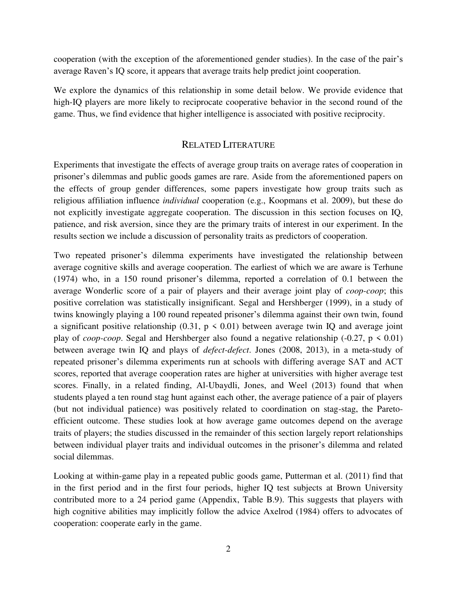cooperation (with the exception of the aforementioned gender studies). In the case of the pair's average Raven's IQ score, it appears that average traits help predict joint cooperation.

We explore the dynamics of this relationship in some detail below. We provide evidence that high-IQ players are more likely to reciprocate cooperative behavior in the second round of the game. Thus, we find evidence that higher intelligence is associated with positive reciprocity.

#### RELATED LITERATURE

Experiments that investigate the effects of average group traits on average rates of cooperation in prisoner's dilemmas and public goods games are rare. Aside from the aforementioned papers on the effects of group gender differences, some papers investigate how group traits such as religious affiliation influence *individual* cooperation (e.g., Koopmans et al. 2009), but these do not explicitly investigate aggregate cooperation. The discussion in this section focuses on IQ, patience, and risk aversion, since they are the primary traits of interest in our experiment. In the results section we include a discussion of personality traits as predictors of cooperation.

Two repeated prisoner's dilemma experiments have investigated the relationship between average cognitive skills and average cooperation. The earliest of which we are aware is Terhune (1974) who, in a 150 round prisoner's dilemma, reported a correlation of 0.1 between the average Wonderlic score of a pair of players and their average joint play of *coop-coop*; this positive correlation was statistically insignificant. Segal and Hershberger (1999), in a study of twins knowingly playing a 100 round repeated prisoner's dilemma against their own twin, found a significant positive relationship  $(0.31, p \le 0.01)$  between average twin IQ and average joint play of *coop-coop*. Segal and Hershberger also found a negative relationship  $(-0.27, p \le 0.01)$ between average twin IQ and plays of *defect-defect*. Jones (2008, 2013), in a meta-study of repeated prisoner's dilemma experiments run at schools with differing average SAT and ACT scores, reported that average cooperation rates are higher at universities with higher average test scores. Finally, in a related finding, Al-Ubaydli, Jones, and Weel (2013) found that when students played a ten round stag hunt against each other, the average patience of a pair of players (but not individual patience) was positively related to coordination on stag-stag, the Paretoefficient outcome. These studies look at how average game outcomes depend on the average traits of players; the studies discussed in the remainder of this section largely report relationships between individual player traits and individual outcomes in the prisoner's dilemma and related social dilemmas.

Looking at within-game play in a repeated public goods game, Putterman et al. (2011) find that in the first period and in the first four periods, higher IQ test subjects at Brown University contributed more to a 24 period game (Appendix, Table B.9). This suggests that players with high cognitive abilities may implicitly follow the advice Axelrod (1984) offers to advocates of cooperation: cooperate early in the game.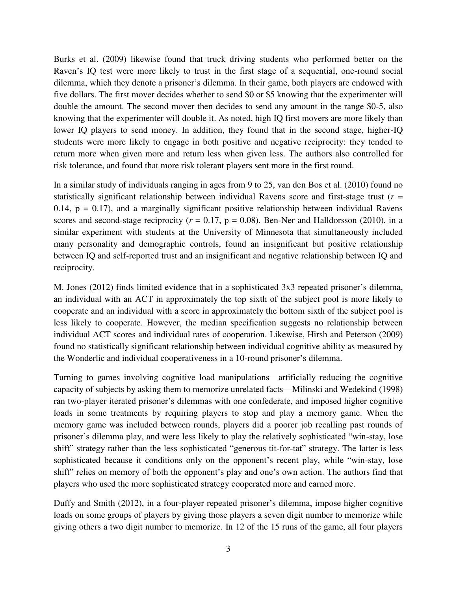Burks et al. (2009) likewise found that truck driving students who performed better on the Raven's IQ test were more likely to trust in the first stage of a sequential, one-round social dilemma, which they denote a prisoner's dilemma. In their game, both players are endowed with five dollars. The first mover decides whether to send \$0 or \$5 knowing that the experimenter will double the amount. The second mover then decides to send any amount in the range \$0-5, also knowing that the experimenter will double it. As noted, high IQ first movers are more likely than lower IQ players to send money. In addition, they found that in the second stage, higher-IQ students were more likely to engage in both positive and negative reciprocity: they tended to return more when given more and return less when given less. The authors also controlled for risk tolerance, and found that more risk tolerant players sent more in the first round.

In a similar study of individuals ranging in ages from 9 to 25, van den Bos et al. (2010) found no statistically significant relationship between individual Ravens score and first-stage trust (*r* = 0.14,  $p = 0.17$ ), and a marginally significant positive relationship between individual Ravens scores and second-stage reciprocity ( $r = 0.17$ ,  $p = 0.08$ ). Ben-Ner and Halldorsson (2010), in a similar experiment with students at the University of Minnesota that simultaneously included many personality and demographic controls, found an insignificant but positive relationship between IQ and self-reported trust and an insignificant and negative relationship between IQ and reciprocity.

M. Jones (2012) finds limited evidence that in a sophisticated 3x3 repeated prisoner's dilemma, an individual with an ACT in approximately the top sixth of the subject pool is more likely to cooperate and an individual with a score in approximately the bottom sixth of the subject pool is less likely to cooperate. However, the median specification suggests no relationship between individual ACT scores and individual rates of cooperation. Likewise, Hirsh and Peterson (2009) found no statistically significant relationship between individual cognitive ability as measured by the Wonderlic and individual cooperativeness in a 10-round prisoner's dilemma.

Turning to games involving cognitive load manipulations—artificially reducing the cognitive capacity of subjects by asking them to memorize unrelated facts—Milinski and Wedekind (1998) ran two-player iterated prisoner's dilemmas with one confederate, and imposed higher cognitive loads in some treatments by requiring players to stop and play a memory game. When the memory game was included between rounds, players did a poorer job recalling past rounds of prisoner's dilemma play, and were less likely to play the relatively sophisticated "win-stay, lose shift" strategy rather than the less sophisticated "generous tit-for-tat" strategy. The latter is less sophisticated because it conditions only on the opponent's recent play, while "win-stay, lose shift" relies on memory of both the opponent's play and one's own action. The authors find that players who used the more sophisticated strategy cooperated more and earned more.

Duffy and Smith (2012), in a four-player repeated prisoner's dilemma, impose higher cognitive loads on some groups of players by giving those players a seven digit number to memorize while giving others a two digit number to memorize. In 12 of the 15 runs of the game, all four players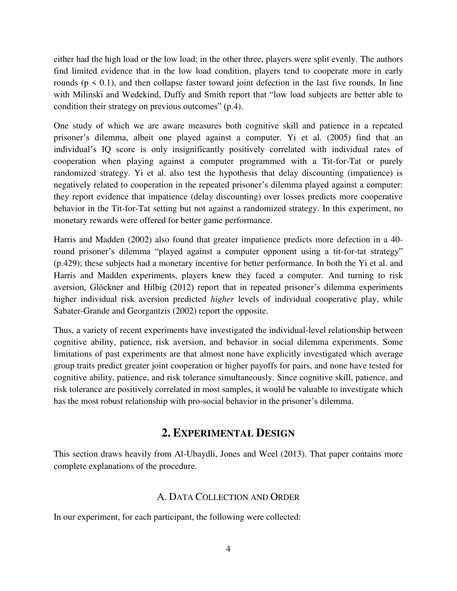either had the high load or the low load; in the other three, players were split evenly. The authors find limited evidence that in the low load condition, players tend to cooperate more in early rounds ( $p \le 0.1$ ), and then collapse faster toward joint defection in the last five rounds. In line with Milinski and Wedekind, Duffy and Smith report that "low load subjects are better able to condition their strategy on previous outcomes" (p.4).

One study of which we are aware measures both cognitive skill and patience in a repeated prisoner's dilemma, albeit one played against a computer. Yi et al. (2005) find that an individual's IQ score is only insignificantly positively correlated with individual rates of cooperation when playing against a computer programmed with a Tit-for-Tat or purely randomized strategy. Yi et al. also test the hypothesis that delay discounting (impatience) is negatively related to cooperation in the repeated prisoner's dilemma played against a computer: they report evidence that impatience (delay discounting) over losses predicts more cooperative behavior in the Tit-for-Tat setting but not against a randomized strategy. In this experiment, no monetary rewards were offered for better game performance.

Harris and Madden (2002) also found that greater impatience predicts more defection in a 40 round prisoner's dilemma "played against a computer opponent using a tit-for-tat strategy" (p.429); these subjects had a monetary incentive for better performance. In both the Yi et al. and Harris and Madden experiments, players knew they faced a computer. And turning to risk aversion, Glöckner and Hilbig (2012) report that in repeated prisoner's dilemma experiments higher individual risk aversion predicted *higher* levels of individual cooperative play, while Sabater-Grande and Georgantzis (2002) report the opposite.

Thus, a variety of recent experiments have investigated the individual-level relationship between cognitive ability, patience, risk aversion, and behavior in social dilemma experiments. Some limitations of past experiments are that almost none have explicitly investigated which average group traits predict greater joint cooperation or higher payoffs for pairs, and none have tested for cognitive ability, patience, and risk tolerance simultaneously. Since cognitive skill, patience, and risk tolerance are positively correlated in most samples, it would be valuable to investigate which has the most robust relationship with pro-social behavior in the prisoner's dilemma.

## **2. EXPERIMENTAL DESIGN**

This section draws heavily from Al-Ubaydli, Jones and Weel (2013). That paper contains more complete explanations of the procedure.

#### A. DATA COLLECTION AND ORDER

In our experiment, for each participant, the following were collected: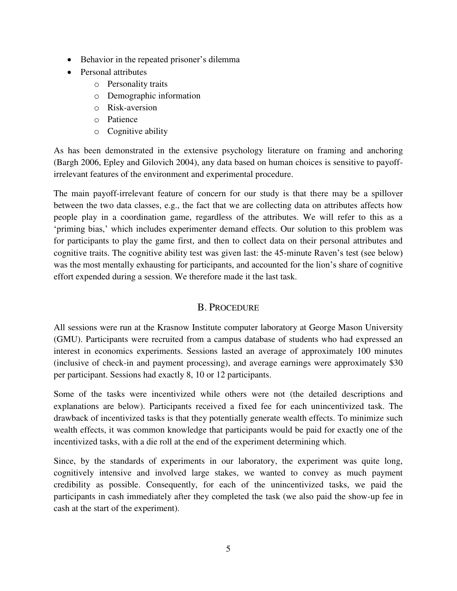- Behavior in the repeated prisoner's dilemma
- Personal attributes
	- o Personality traits
	- o Demographic information
	- o Risk-aversion
	- o Patience
	- o Cognitive ability

As has been demonstrated in the extensive psychology literature on framing and anchoring (Bargh 2006, Epley and Gilovich 2004), any data based on human choices is sensitive to payoffirrelevant features of the environment and experimental procedure.

The main payoff-irrelevant feature of concern for our study is that there may be a spillover between the two data classes, e.g., the fact that we are collecting data on attributes affects how people play in a coordination game, regardless of the attributes. We will refer to this as a 'priming bias,' which includes experimenter demand effects. Our solution to this problem was for participants to play the game first, and then to collect data on their personal attributes and cognitive traits. The cognitive ability test was given last: the 45-minute Raven's test (see below) was the most mentally exhausting for participants, and accounted for the lion's share of cognitive effort expended during a session. We therefore made it the last task.

## B. PROCEDURE

All sessions were run at the Krasnow Institute computer laboratory at George Mason University (GMU). Participants were recruited from a campus database of students who had expressed an interest in economics experiments. Sessions lasted an average of approximately 100 minutes (inclusive of check-in and payment processing), and average earnings were approximately \$30 per participant. Sessions had exactly 8, 10 or 12 participants.

Some of the tasks were incentivized while others were not (the detailed descriptions and explanations are below). Participants received a fixed fee for each unincentivized task. The drawback of incentivized tasks is that they potentially generate wealth effects. To minimize such wealth effects, it was common knowledge that participants would be paid for exactly one of the incentivized tasks, with a die roll at the end of the experiment determining which.

Since, by the standards of experiments in our laboratory, the experiment was quite long, cognitively intensive and involved large stakes, we wanted to convey as much payment credibility as possible. Consequently, for each of the unincentivized tasks, we paid the participants in cash immediately after they completed the task (we also paid the show-up fee in cash at the start of the experiment).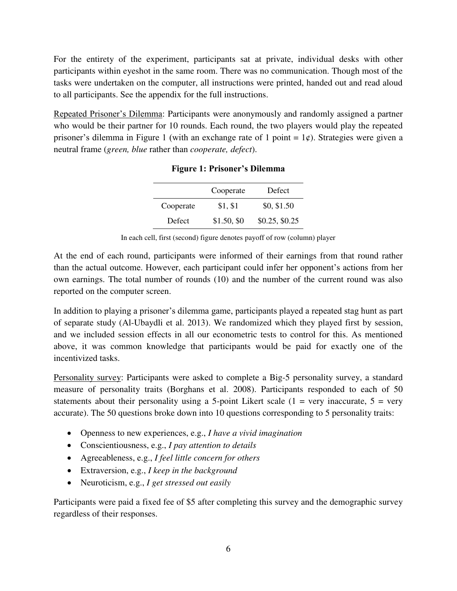For the entirety of the experiment, participants sat at private, individual desks with other participants within eyeshot in the same room. There was no communication. Though most of the tasks were undertaken on the computer, all instructions were printed, handed out and read aloud to all participants. See the appendix for the full instructions.

Repeated Prisoner's Dilemma: Participants were anonymously and randomly assigned a partner who would be their partner for 10 rounds. Each round, the two players would play the repeated prisoner's dilemma in Figure 1 (with an exchange rate of 1 point =  $1¢$ ). Strategies were given a neutral frame (*green, blue* rather than *cooperate, defect*).

|           | Cooperate   | Defect         |
|-----------|-------------|----------------|
| Cooperate | \$1, \$1    | \$0, \$1.50    |
| Defect    | \$1.50, \$0 | \$0.25, \$0.25 |

|  |  |  |  |  | <b>Figure 1: Prisoner's Dilemma</b> |
|--|--|--|--|--|-------------------------------------|
|--|--|--|--|--|-------------------------------------|

In each cell, first (second) figure denotes payoff of row (column) player

At the end of each round, participants were informed of their earnings from that round rather than the actual outcome. However, each participant could infer her opponent's actions from her own earnings. The total number of rounds (10) and the number of the current round was also reported on the computer screen.

In addition to playing a prisoner's dilemma game, participants played a repeated stag hunt as part of separate study (Al-Ubaydli et al. 2013). We randomized which they played first by session, and we included session effects in all our econometric tests to control for this. As mentioned above, it was common knowledge that participants would be paid for exactly one of the incentivized tasks.

Personality survey: Participants were asked to complete a Big-5 personality survey, a standard measure of personality traits (Borghans et al. 2008). Participants responded to each of 50 statements about their personality using a 5-point Likert scale  $(1 = \text{very inaccurate}, 5 = \text{very}$ accurate). The 50 questions broke down into 10 questions corresponding to 5 personality traits:

- Openness to new experiences, e.g., *I have a vivid imagination*
- Conscientiousness, e.g., *I pay attention to details*
- Agreeableness, e.g., *I feel little concern for others*
- Extraversion, e.g., *I keep in the background*
- Neuroticism, e.g., *I get stressed out easily*

Participants were paid a fixed fee of \$5 after completing this survey and the demographic survey regardless of their responses.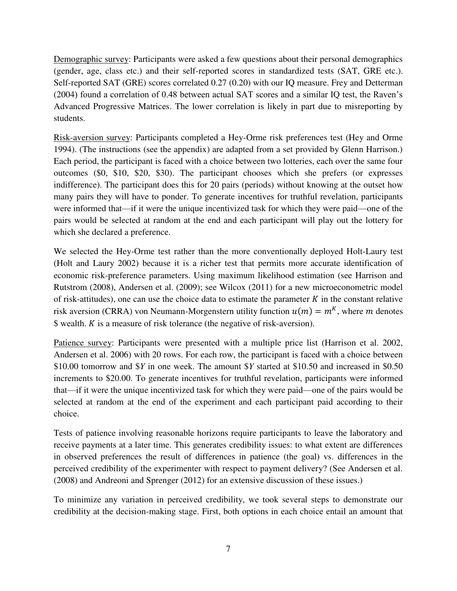Demographic survey: Participants were asked a few questions about their personal demographics (gender, age, class etc.) and their self-reported scores in standardized tests (SAT, GRE etc.). Self-reported SAT (GRE) scores correlated 0.27 (0.20) with our IQ measure. Frey and Detterman (2004) found a correlation of 0.48 between actual SAT scores and a similar IQ test, the Raven's Advanced Progressive Matrices. The lower correlation is likely in part due to misreporting by students.

Risk-aversion survey: Participants completed a Hey-Orme risk preferences test (Hey and Orme 1994). (The instructions (see the appendix) are adapted from a set provided by Glenn Harrison.) Each period, the participant is faced with a choice between two lotteries, each over the same four outcomes (\$0, \$10, \$20, \$30). The participant chooses which she prefers (or expresses indifference). The participant does this for 20 pairs (periods) without knowing at the outset how many pairs they will have to ponder. To generate incentives for truthful revelation, participants were informed that—if it were the unique incentivized task for which they were paid—one of the pairs would be selected at random at the end and each participant will play out the lottery for which she declared a preference.

We selected the Hey-Orme test rather than the more conventionally deployed Holt-Laury test (Holt and Laury 2002) because it is a richer test that permits more accurate identification of economic risk-preference parameters. Using maximum likelihood estimation (see Harrison and Rutstrom (2008), Andersen et al. (2009); see Wilcox (2011) for a new microeconometric model of risk-attitudes), one can use the choice data to estimate the parameter  $K$  in the constant relative risk aversion (CRRA) von Neumann-Morgenstern utility function  $u(m) = m<sup>K</sup>$ , where m denotes  $\text{\$}$  wealth. *K* is a measure of risk tolerance (the negative of risk-aversion).

Patience survey: Participants were presented with a multiple price list (Harrison et al. 2002, Andersen et al. 2006) with 20 rows. For each row, the participant is faced with a choice between \$10.00 tomorrow and \$*Y* in one week. The amount \$*Y* started at \$10.50 and increased in \$0.50 increments to \$20.00. To generate incentives for truthful revelation, participants were informed that—if it were the unique incentivized task for which they were paid—one of the pairs would be selected at random at the end of the experiment and each participant paid according to their choice.

Tests of patience involving reasonable horizons require participants to leave the laboratory and receive payments at a later time. This generates credibility issues: to what extent are differences in observed preferences the result of differences in patience (the goal) vs. differences in the perceived credibility of the experimenter with respect to payment delivery? (See Andersen et al. (2008) and Andreoni and Sprenger (2012) for an extensive discussion of these issues.)

To minimize any variation in perceived credibility, we took several steps to demonstrate our credibility at the decision-making stage. First, both options in each choice entail an amount that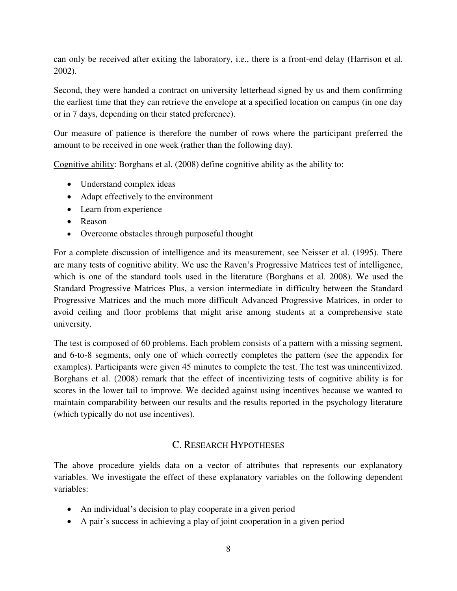can only be received after exiting the laboratory, i.e., there is a front-end delay (Harrison et al. 2002).

Second, they were handed a contract on university letterhead signed by us and them confirming the earliest time that they can retrieve the envelope at a specified location on campus (in one day or in 7 days, depending on their stated preference).

Our measure of patience is therefore the number of rows where the participant preferred the amount to be received in one week (rather than the following day).

Cognitive ability: Borghans et al. (2008) define cognitive ability as the ability to:

- Understand complex ideas
- Adapt effectively to the environment
- Learn from experience
- Reason
- Overcome obstacles through purposeful thought

For a complete discussion of intelligence and its measurement, see Neisser et al. (1995). There are many tests of cognitive ability. We use the Raven's Progressive Matrices test of intelligence, which is one of the standard tools used in the literature (Borghans et al. 2008). We used the Standard Progressive Matrices Plus, a version intermediate in difficulty between the Standard Progressive Matrices and the much more difficult Advanced Progressive Matrices, in order to avoid ceiling and floor problems that might arise among students at a comprehensive state university.

The test is composed of 60 problems. Each problem consists of a pattern with a missing segment, and 6-to-8 segments, only one of which correctly completes the pattern (see the appendix for examples). Participants were given 45 minutes to complete the test. The test was unincentivized. Borghans et al. (2008) remark that the effect of incentivizing tests of cognitive ability is for scores in the lower tail to improve. We decided against using incentives because we wanted to maintain comparability between our results and the results reported in the psychology literature (which typically do not use incentives).

## C. RESEARCH HYPOTHESES

The above procedure yields data on a vector of attributes that represents our explanatory variables. We investigate the effect of these explanatory variables on the following dependent variables:

- An individual's decision to play cooperate in a given period
- A pair's success in achieving a play of joint cooperation in a given period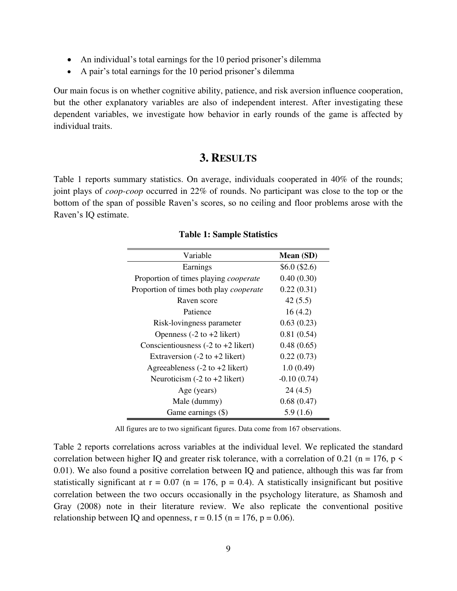- An individual's total earnings for the 10 period prisoner's dilemma
- A pair's total earnings for the 10 period prisoner's dilemma

Our main focus is on whether cognitive ability, patience, and risk aversion influence cooperation, but the other explanatory variables are also of independent interest. After investigating these dependent variables, we investigate how behavior in early rounds of the game is affected by individual traits.

#### **3. RESULTS**

Table 1 reports summary statistics. On average, individuals cooperated in 40% of the rounds; joint plays of *coop-coop* occurred in 22% of rounds. No participant was close to the top or the bottom of the span of possible Raven's scores, so no ceiling and floor problems arose with the Raven's IQ estimate.

| Variable                                               | Mean (SD)      |
|--------------------------------------------------------|----------------|
| Earnings                                               | $$6.0$ (\$2.6) |
| Proportion of times playing <i>cooperate</i>           | 0.40(0.30)     |
| Proportion of times both play <i>cooperate</i>         | 0.22(0.31)     |
| Raven score                                            | 42(5.5)        |
| Patience                                               | 16(4.2)        |
| Risk-lovingness parameter                              | 0.63(0.23)     |
| Openness $(-2 \text{ to } +2 \text{ likert})$          | 0.81(0.54)     |
| Conscientiousness $(-2 \text{ to } +2 \text{ likert})$ | 0.48(0.65)     |
| Extraversion $(-2 \text{ to } +2 \text{ likert})$      | 0.22(0.73)     |
| Agreeableness $(-2 \text{ to } +2 \text{ likert})$     | 1.0(0.49)      |
| Neuroticism $(-2 \text{ to } +2 \text{ likert})$       | $-0.10(0.74)$  |
| Age (years)                                            | 24(4.5)        |
| Male (dummy)                                           | 0.68(0.47)     |
| Game earnings (\$)                                     | 5.9(1.6)       |

#### **Table 1: Sample Statistics**

All figures are to two significant figures. Data come from 167 observations.

Table 2 reports correlations across variables at the individual level. We replicated the standard correlation between higher IQ and greater risk tolerance, with a correlation of 0.21 (n = 176, p  $\leq$ 0.01). We also found a positive correlation between IQ and patience, although this was far from statistically significant at  $r = 0.07$  (n = 176, p = 0.4). A statistically insignificant but positive correlation between the two occurs occasionally in the psychology literature, as Shamosh and Gray (2008) note in their literature review. We also replicate the conventional positive relationship between IQ and openness,  $r = 0.15$  (n = 176, p = 0.06).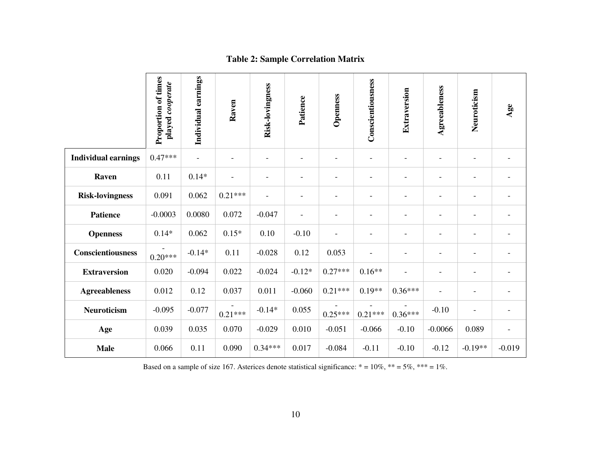|                            | Proportion of times<br>played cooperate | Individual earnings      | Raven                    | Risk-lovingness          | Patience                 | Openness                 | Conscientiousness        | Extraversion             | Agreeableness            | Neuroticism              | Age      |
|----------------------------|-----------------------------------------|--------------------------|--------------------------|--------------------------|--------------------------|--------------------------|--------------------------|--------------------------|--------------------------|--------------------------|----------|
| <b>Individual earnings</b> | $0.47***$                               | $\overline{\phantom{a}}$ | $\overline{\phantom{0}}$ | ٠                        |                          |                          | $\qquad \qquad -$        | ٠                        |                          | $\overline{\phantom{a}}$ |          |
| Raven                      | 0.11                                    | $0.14*$                  |                          |                          | $\overline{\phantom{a}}$ | $\blacksquare$           | $\qquad \qquad -$        | $\blacksquare$           | $\overline{\phantom{0}}$ | $\overline{\phantom{a}}$ |          |
| <b>Risk-lovingness</b>     | 0.091                                   | 0.062                    | $0.21***$                | $\overline{\phantom{a}}$ | $\overline{\phantom{0}}$ |                          | $\overline{\phantom{0}}$ | $\overline{\phantom{a}}$ | $\overline{\phantom{0}}$ | $\overline{\phantom{0}}$ |          |
| <b>Patience</b>            | $-0.0003$                               | 0.0080                   | 0.072                    | $-0.047$                 | $\blacksquare$           | $\overline{\phantom{0}}$ | $\overline{\phantom{0}}$ | $\blacksquare$           | $\overline{\phantom{0}}$ | $\overline{\phantom{a}}$ |          |
| <b>Openness</b>            | $0.14*$                                 | 0.062                    | $0.15*$                  | 0.10                     | $-0.10$                  |                          | $\overline{\phantom{0}}$ |                          |                          | $\overline{\phantom{0}}$ |          |
| Conscientiousness          | $0.20***$                               | $-0.14*$                 | 0.11                     | $-0.028$                 | 0.12                     | 0.053                    | $\overline{\phantom{0}}$ |                          |                          | $\overline{\phantom{a}}$ |          |
| <b>Extraversion</b>        | 0.020                                   | $-0.094$                 | 0.022                    | $-0.024$                 | $-0.12*$                 | $0.27***$                | $0.16**$                 | Ē,                       |                          |                          |          |
| <b>Agreeableness</b>       | 0.012                                   | 0.12                     | 0.037                    | 0.011                    | $-0.060$                 | $0.21***$                | $0.19**$                 | $0.36***$                |                          | $\overline{\phantom{a}}$ |          |
| <b>Neuroticism</b>         | $-0.095$                                | $-0.077$                 | $0.21***$                | $-0.14*$                 | 0.055                    | $0.25***$                | $0.21***$                | $0.36***$                | $-0.10$                  | $\blacksquare$           |          |
| Age                        | 0.039                                   | 0.035                    | 0.070                    | $-0.029$                 | 0.010                    | $-0.051$                 | $-0.066$                 | $-0.10$                  | $-0.0066$                | 0.089                    |          |
| <b>Male</b>                | 0.066                                   | 0.11                     | 0.090                    | $0.34***$                | 0.017                    | $-0.084$                 | $-0.11$                  | $-0.10$                  | $-0.12$                  | $-0.19**$                | $-0.019$ |

#### **Table 2: Sample Correlation Matrix**

Based on a sample of size 167. Asterices denote statistical significance:  $* = 10\%$ ,  $** = 5\%$ ,  $*** = 1\%$ .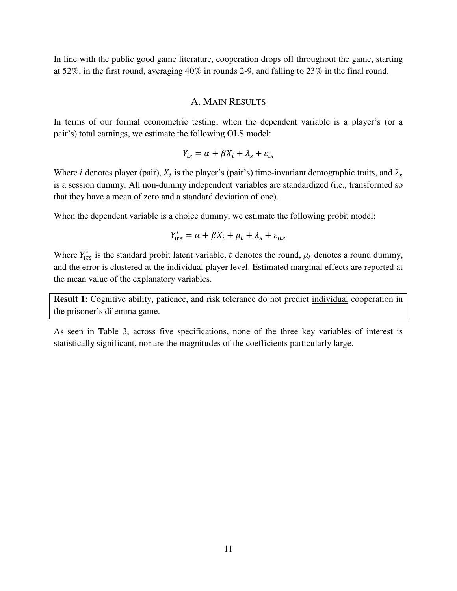In line with the public good game literature, cooperation drops off throughout the game, starting at 52%, in the first round, averaging 40% in rounds 2-9, and falling to 23% in the final round.

#### A. MAIN RESULTS

In terms of our formal econometric testing, when the dependent variable is a player's (or a pair's) total earnings, we estimate the following OLS model:

$$
Y_{is} = \alpha + \beta X_i + \lambda_s + \varepsilon_{is}
$$

Where *i* denotes player (pair),  $X_i$  is the player's (pair's) time-invariant demographic traits, and is a session dummy. All non-dummy independent variables are standardized (i.e., transformed so that they have a mean of zero and a standard deviation of one).

When the dependent variable is a choice dummy, we estimate the following probit model:

$$
Y_{its}^* = \alpha + \beta X_i + \mu_t + \lambda_s + \varepsilon_{its}
$$

Where  $Y_{its}^*$  is the standard probit latent variable, t denotes the round,  $\mu_t$  denotes a round dummy, and the error is clustered at the individual player level. Estimated marginal effects are reported at the mean value of the explanatory variables.

**Result 1**: Cognitive ability, patience, and risk tolerance do not predict individual cooperation in the prisoner's dilemma game.

As seen in Table 3, across five specifications, none of the three key variables of interest is statistically significant, nor are the magnitudes of the coefficients particularly large.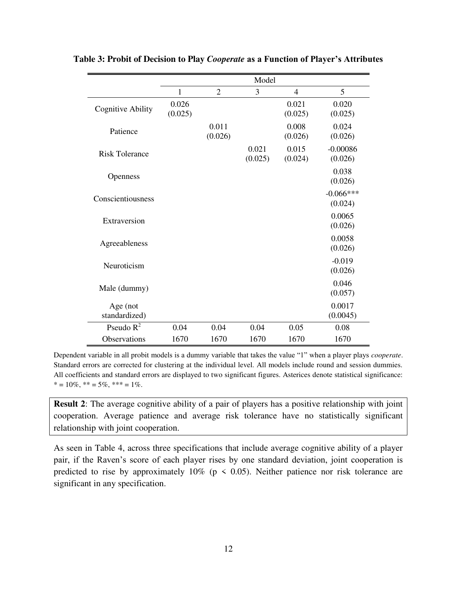|                           |                  |                  | Model            |                  |                        |
|---------------------------|------------------|------------------|------------------|------------------|------------------------|
|                           | $\mathbf{1}$     | $\overline{2}$   | 3                | $\overline{4}$   | 5                      |
| <b>Cognitive Ability</b>  | 0.026<br>(0.025) |                  |                  | 0.021<br>(0.025) | 0.020<br>(0.025)       |
| Patience                  |                  | 0.011<br>(0.026) |                  | 0.008<br>(0.026) | 0.024<br>(0.026)       |
| <b>Risk Tolerance</b>     |                  |                  | 0.021<br>(0.025) | 0.015<br>(0.024) | $-0.00086$<br>(0.026)  |
| Openness                  |                  |                  |                  |                  | 0.038<br>(0.026)       |
| Conscientiousness         |                  |                  |                  |                  | $-0.066***$<br>(0.024) |
| Extraversion              |                  |                  |                  |                  | 0.0065<br>(0.026)      |
| Agreeableness             |                  |                  |                  |                  | 0.0058<br>(0.026)      |
| Neuroticism               |                  |                  |                  |                  | $-0.019$<br>(0.026)    |
| Male (dummy)              |                  |                  |                  |                  | 0.046<br>(0.057)       |
| Age (not<br>standardized) |                  |                  |                  |                  | 0.0017<br>(0.0045)     |
| Pseudo $R^2$              | 0.04             | 0.04             | 0.04             | 0.05             | 0.08                   |
| <b>Observations</b>       | 1670             | 1670             | 1670             | 1670             | 1670                   |

**Table 3: Probit of Decision to Play** *Cooperate* **as a Function of Player's Attributes**

Dependent variable in all probit models is a dummy variable that takes the value "1" when a player plays *cooperate*. Standard errors are corrected for clustering at the individual level. All models include round and session dummies. All coefficients and standard errors are displayed to two significant figures. Asterices denote statistical significance:  $* = 10\%, ** = 5\%, ** = 1\%$ .

**Result 2:** The average cognitive ability of a pair of players has a positive relationship with joint cooperation. Average patience and average risk tolerance have no statistically significant relationship with joint cooperation.

As seen in Table 4, across three specifications that include average cognitive ability of a player pair, if the Raven's score of each player rises by one standard deviation, joint cooperation is predicted to rise by approximately 10% ( $p \le 0.05$ ). Neither patience nor risk tolerance are significant in any specification.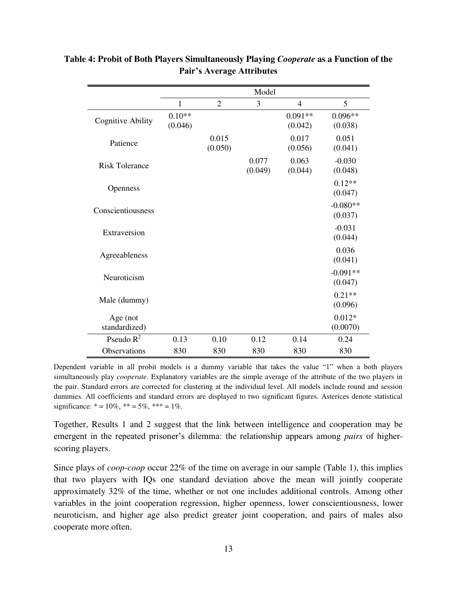|                           |                     |                  | Model            |                      |                       |
|---------------------------|---------------------|------------------|------------------|----------------------|-----------------------|
|                           | $\mathbf{1}$        | $\overline{2}$   | 3                | 4                    | 5                     |
| <b>Cognitive Ability</b>  | $0.10**$<br>(0.046) |                  |                  | $0.091**$<br>(0.042) | $0.096**$<br>(0.038)  |
| Patience                  |                     | 0.015<br>(0.050) |                  | 0.017<br>(0.056)     | 0.051<br>(0.041)      |
| <b>Risk Tolerance</b>     |                     |                  | 0.077<br>(0.049) | 0.063<br>(0.044)     | $-0.030$<br>(0.048)   |
| Openness                  |                     |                  |                  |                      | $0.12**$<br>(0.047)   |
| Conscientiousness         |                     |                  |                  |                      | $-0.080**$<br>(0.037) |
| Extraversion              |                     |                  |                  |                      | $-0.031$<br>(0.044)   |
| Agreeableness             |                     |                  |                  |                      | 0.036<br>(0.041)      |
| Neuroticism               |                     |                  |                  |                      | $-0.091**$<br>(0.047) |
| Male (dummy)              |                     |                  |                  |                      | $0.21**$<br>(0.096)   |
| Age (not<br>standardized) |                     |                  |                  |                      | $0.012*$<br>(0.0070)  |
| Pseudo $R^2$              | 0.13                | 0.10             | 0.12             | 0.14                 | 0.24                  |
| <b>Observations</b>       | 830                 | 830              | 830              | 830                  | 830                   |

## **Table 4: Probit of Both Players Simultaneously Playing** *Cooperate* **as a Function of the Pair's Average Attributes**

Dependent variable in all probit models is a dummy variable that takes the value "1" when a both players simultaneously play *cooperate*. Explanatory variables are the simple average of the attribute of the two players in the pair. Standard errors are corrected for clustering at the individual level. All models include round and session dummies. All coefficients and standard errors are displayed to two significant figures. Asterices denote statistical significance:  $* = 10\%, ** = 5\%, *** = 1\%$ .

Together, Results 1 and 2 suggest that the link between intelligence and cooperation may be emergent in the repeated prisoner's dilemma: the relationship appears among *pairs* of higherscoring players.

Since plays of *coop-coop* occur 22% of the time on average in our sample (Table 1), this implies that two players with IQs one standard deviation above the mean will jointly cooperate approximately 32% of the time, whether or not one includes additional controls. Among other variables in the joint cooperation regression, higher openness, lower conscientiousness, lower neuroticism, and higher age also predict greater joint cooperation, and pairs of males also cooperate more often.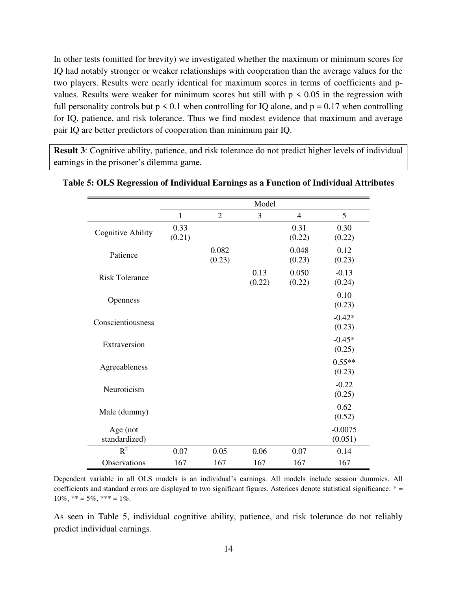In other tests (omitted for brevity) we investigated whether the maximum or minimum scores for IQ had notably stronger or weaker relationships with cooperation than the average values for the two players. Results were nearly identical for maximum scores in terms of coefficients and pvalues. Results were weaker for minimum scores but still with  $p \leq 0.05$  in the regression with full personality controls but  $p \le 0.1$  when controlling for IQ alone, and  $p = 0.17$  when controlling for IQ, patience, and risk tolerance. Thus we find modest evidence that maximum and average pair IQ are better predictors of cooperation than minimum pair IQ.

**Result 3**: Cognitive ability, patience, and risk tolerance do not predict higher levels of individual earnings in the prisoner's dilemma game.

|                           |                |                 | Model          |                 |                      |
|---------------------------|----------------|-----------------|----------------|-----------------|----------------------|
|                           | $\mathbf{1}$   | $\overline{2}$  | 3              | $\overline{4}$  | 5                    |
| <b>Cognitive Ability</b>  | 0.33<br>(0.21) |                 |                | 0.31<br>(0.22)  | 0.30<br>(0.22)       |
| Patience                  |                | 0.082<br>(0.23) |                | 0.048<br>(0.23) | 0.12<br>(0.23)       |
| <b>Risk Tolerance</b>     |                |                 | 0.13<br>(0.22) | 0.050<br>(0.22) | $-0.13$<br>(0.24)    |
| Openness                  |                |                 |                |                 | 0.10<br>(0.23)       |
| Conscientiousness         |                |                 |                |                 | $-0.42*$<br>(0.23)   |
| Extraversion              |                |                 |                |                 | $-0.45*$<br>(0.25)   |
| Agreeableness             |                |                 |                |                 | $0.55**$<br>(0.23)   |
| Neuroticism               |                |                 |                |                 | $-0.22$<br>(0.25)    |
| Male (dummy)              |                |                 |                |                 | 0.62<br>(0.52)       |
| Age (not<br>standardized) |                |                 |                |                 | $-0.0075$<br>(0.051) |
| $R^2$                     | 0.07           | 0.05            | 0.06           | 0.07            | 0.14                 |
| Observations              | 167            | 167             | 167            | 167             | 167                  |

#### **Table 5: OLS Regression of Individual Earnings as a Function of Individual Attributes**

Dependent variable in all OLS models is an individual's earnings. All models include session dummies. All coefficients and standard errors are displayed to two significant figures. Asterices denote statistical significance: \* =  $10\%, ** = 5\%, ** = 1\%$ .

As seen in Table 5, individual cognitive ability, patience, and risk tolerance do not reliably predict individual earnings.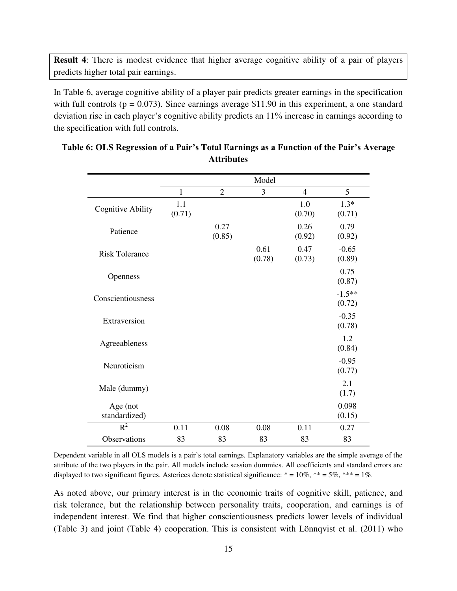**Result 4**: There is modest evidence that higher average cognitive ability of a pair of players predicts higher total pair earnings.

In Table 6, average cognitive ability of a player pair predicts greater earnings in the specification with full controls ( $p = 0.073$ ). Since earnings average \$11.90 in this experiment, a one standard deviation rise in each player's cognitive ability predicts an 11% increase in earnings according to the specification with full controls.

|                           |               |                | Model          |                |                    |
|---------------------------|---------------|----------------|----------------|----------------|--------------------|
|                           | $\mathbf{1}$  | $\overline{2}$ | 3              | $\overline{4}$ | 5                  |
| <b>Cognitive Ability</b>  | 1.1<br>(0.71) |                |                | 1.0<br>(0.70)  | $1.3*$<br>(0.71)   |
| Patience                  |               | 0.27<br>(0.85) |                | 0.26<br>(0.92) | 0.79<br>(0.92)     |
| <b>Risk Tolerance</b>     |               |                | 0.61<br>(0.78) | 0.47<br>(0.73) | $-0.65$<br>(0.89)  |
| Openness                  |               |                |                |                | 0.75<br>(0.87)     |
| Conscientiousness         |               |                |                |                | $-1.5**$<br>(0.72) |
| Extraversion              |               |                |                |                | $-0.35$<br>(0.78)  |
| Agreeableness             |               |                |                |                | 1.2<br>(0.84)      |
| Neuroticism               |               |                |                |                | $-0.95$<br>(0.77)  |
| Male (dummy)              |               |                |                |                | 2.1<br>(1.7)       |
| Age (not<br>standardized) |               |                |                |                | 0.098<br>(0.15)    |
| $R^2$                     | 0.11          | 0.08           | 0.08           | 0.11           | 0.27               |
| Observations              | 83            | 83             | 83             | 83             | 83                 |

#### **Table 6: OLS Regression of a Pair's Total Earnings as a Function of the Pair's Average Attributes**

Dependent variable in all OLS models is a pair's total earnings. Explanatory variables are the simple average of the attribute of the two players in the pair. All models include session dummies. All coefficients and standard errors are displayed to two significant figures. Asterices denote statistical significance:  $* = 10\%$ ,  $** = 5\%$ ,  $*** = 1\%$ .

As noted above, our primary interest is in the economic traits of cognitive skill, patience, and risk tolerance, but the relationship between personality traits, cooperation, and earnings is of independent interest. We find that higher conscientiousness predicts lower levels of individual (Table 3) and joint (Table 4) cooperation. This is consistent with Lönnqvist et al. (2011) who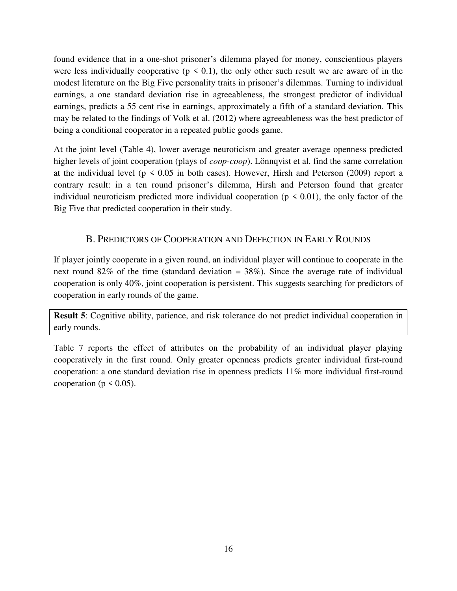found evidence that in a one-shot prisoner's dilemma played for money, conscientious players were less individually cooperative ( $p \le 0.1$ ), the only other such result we are aware of in the modest literature on the Big Five personality traits in prisoner's dilemmas. Turning to individual earnings, a one standard deviation rise in agreeableness, the strongest predictor of individual earnings, predicts a 55 cent rise in earnings, approximately a fifth of a standard deviation. This may be related to the findings of Volk et al. (2012) where agreeableness was the best predictor of being a conditional cooperator in a repeated public goods game.

At the joint level (Table 4), lower average neuroticism and greater average openness predicted higher levels of joint cooperation (plays of *coop-coop*). Lönnqvist et al. find the same correlation at the individual level ( $p \le 0.05$  in both cases). However, Hirsh and Peterson (2009) report a contrary result: in a ten round prisoner's dilemma, Hirsh and Peterson found that greater individual neuroticism predicted more individual cooperation ( $p \le 0.01$ ), the only factor of the Big Five that predicted cooperation in their study.

## B. PREDICTORS OF COOPERATION AND DEFECTION IN EARLY ROUNDS

If player jointly cooperate in a given round, an individual player will continue to cooperate in the next round  $82\%$  of the time (standard deviation = 38%). Since the average rate of individual cooperation is only 40%, joint cooperation is persistent. This suggests searching for predictors of cooperation in early rounds of the game.

**Result 5**: Cognitive ability, patience, and risk tolerance do not predict individual cooperation in early rounds.

Table 7 reports the effect of attributes on the probability of an individual player playing cooperatively in the first round. Only greater openness predicts greater individual first-round cooperation: a one standard deviation rise in openness predicts 11% more individual first-round cooperation ( $p \le 0.05$ ).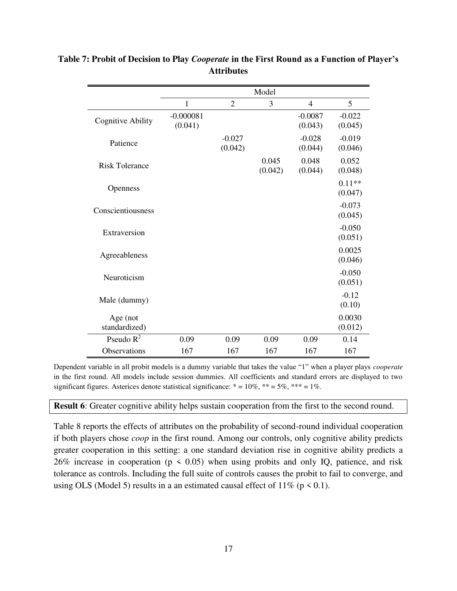|                           |                        |                     | Model            |                      |                     |
|---------------------------|------------------------|---------------------|------------------|----------------------|---------------------|
|                           | 1                      | $\overline{2}$      | 3                | $\overline{4}$       | 5                   |
| <b>Cognitive Ability</b>  | $-0.000081$<br>(0.041) |                     |                  | $-0.0087$<br>(0.043) | $-0.022$<br>(0.045) |
| Patience                  |                        | $-0.027$<br>(0.042) |                  | $-0.028$<br>(0.044)  | $-0.019$<br>(0.046) |
| <b>Risk Tolerance</b>     |                        |                     | 0.045<br>(0.042) | 0.048<br>(0.044)     | 0.052<br>(0.048)    |
| Openness                  |                        |                     |                  |                      | $0.11**$<br>(0.047) |
| Conscientiousness         |                        |                     |                  |                      | $-0.073$<br>(0.045) |
| Extraversion              |                        |                     |                  |                      | $-0.050$<br>(0.051) |
| Agreeableness             |                        |                     |                  |                      | 0.0025<br>(0.046)   |
| Neuroticism               |                        |                     |                  |                      | $-0.050$<br>(0.051) |
| Male (dummy)              |                        |                     |                  |                      | $-0.12$<br>(0.10)   |
| Age (not<br>standardized) |                        |                     |                  |                      | 0.0030<br>(0.012)   |
| Pseudo $R^2$              | 0.09                   | 0.09                | 0.09             | 0.09                 | 0.14                |
| Observations              | 167                    | 167                 | 167              | 167                  | 167                 |

## **Table 7: Probit of Decision to Play** *Cooperate* **in the First Round as a Function of Player's Attributes**

Dependent variable in all probit models is a dummy variable that takes the value "1" when a player plays *cooperate* in the first round. All models include session dummies. All coefficients and standard errors are displayed to two significant figures. Asterices denote statistical significance:  $* = 10\%$ ,  $** = 5\%$ ,  $*** = 1\%$ .

#### **Result 6**: Greater cognitive ability helps sustain cooperation from the first to the second round.

Table 8 reports the effects of attributes on the probability of second-round individual cooperation if both players chose *coop* in the first round. Among our controls, only cognitive ability predicts greater cooperation in this setting: a one standard deviation rise in cognitive ability predicts a 26% increase in cooperation ( $p \le 0.05$ ) when using probits and only IQ, patience, and risk tolerance as controls. Including the full suite of controls causes the probit to fail to converge, and using OLS (Model 5) results in a an estimated causal effect of  $11\%$  (p < 0.1).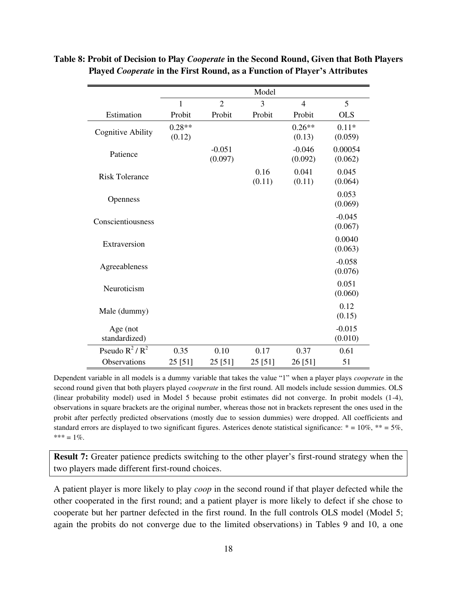|                           |                    |                     | Model          |                     |                     |
|---------------------------|--------------------|---------------------|----------------|---------------------|---------------------|
|                           | 1                  | $\overline{2}$      | 3              | 4                   | 5                   |
| Estimation                | Probit             | Probit              | Probit         | Probit              | <b>OLS</b>          |
| <b>Cognitive Ability</b>  | $0.28**$<br>(0.12) |                     |                | $0.26**$<br>(0.13)  | $0.11*$<br>(0.059)  |
| Patience                  |                    | $-0.051$<br>(0.097) |                | $-0.046$<br>(0.092) | 0.00054<br>(0.062)  |
| <b>Risk Tolerance</b>     |                    |                     | 0.16<br>(0.11) | 0.041<br>(0.11)     | 0.045<br>(0.064)    |
| Openness                  |                    |                     |                |                     | 0.053<br>(0.069)    |
| Conscientiousness         |                    |                     |                |                     | $-0.045$<br>(0.067) |
| Extraversion              |                    |                     |                |                     | 0.0040<br>(0.063)   |
| Agreeableness             |                    |                     |                |                     | $-0.058$<br>(0.076) |
| Neuroticism               |                    |                     |                |                     | 0.051<br>(0.060)    |
| Male (dummy)              |                    |                     |                |                     | 0.12<br>(0.15)      |
| Age (not<br>standardized) |                    |                     |                |                     | $-0.015$<br>(0.010) |
| Pseudo $R^2/R^2$          | 0.35               | 0.10                | 0.17           | 0.37                | 0.61                |
| Observations              | 25 [51]            | 25 [51]             | 25 [51]        | 26 [51]             | 51                  |

#### **Table 8: Probit of Decision to Play** *Cooperate* **in the Second Round, Given that Both Players Played** *Cooperate* **in the First Round, as a Function of Player's Attributes**

Dependent variable in all models is a dummy variable that takes the value "1" when a player plays *cooperate* in the second round given that both players played *cooperate* in the first round. All models include session dummies. OLS (linear probability model) used in Model 5 because probit estimates did not converge. In probit models (1-4), observations in square brackets are the original number, whereas those not in brackets represent the ones used in the probit after perfectly predicted observations (mostly due to session dummies) were dropped. All coefficients and standard errors are displayed to two significant figures. Asterices denote statistical significance:  $* = 10\%$ ,  $** = 5\%$ ,  $*** = 1\%$ .

**Result 7:** Greater patience predicts switching to the other player's first-round strategy when the two players made different first-round choices.

A patient player is more likely to play *coop* in the second round if that player defected while the other cooperated in the first round; and a patient player is more likely to defect if she chose to cooperate but her partner defected in the first round. In the full controls OLS model (Model 5; again the probits do not converge due to the limited observations) in Tables 9 and 10, a one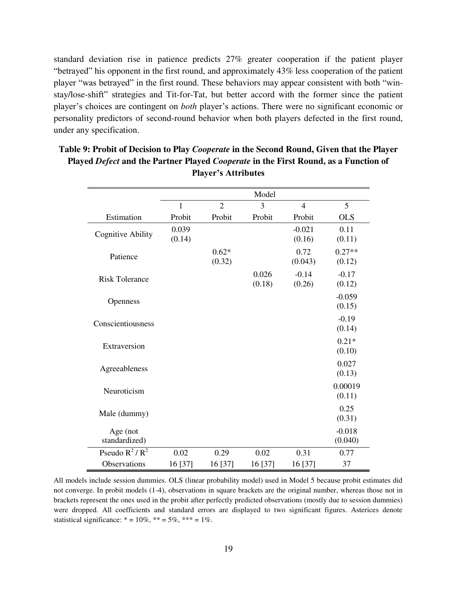standard deviation rise in patience predicts 27% greater cooperation if the patient player "betrayed" his opponent in the first round, and approximately 43% less cooperation of the patient player "was betrayed" in the first round. These behaviors may appear consistent with both "winstay/lose-shift" strategies and Tit-for-Tat, but better accord with the former since the patient player's choices are contingent on *both* player's actions. There were no significant economic or personality predictors of second-round behavior when both players defected in the first round, under any specification.

|                           |                 |                   | Model           |                    |                     |
|---------------------------|-----------------|-------------------|-----------------|--------------------|---------------------|
|                           | 1               | $\overline{2}$    | 3               | $\overline{4}$     | 5                   |
| Estimation                | Probit          | Probit            | Probit          | Probit             | <b>OLS</b>          |
| <b>Cognitive Ability</b>  | 0.039<br>(0.14) |                   |                 | $-0.021$<br>(0.16) | 0.11<br>(0.11)      |
| Patience                  |                 | $0.62*$<br>(0.32) |                 | 0.72<br>(0.043)    | $0.27**$<br>(0.12)  |
| <b>Risk Tolerance</b>     |                 |                   | 0.026<br>(0.18) | $-0.14$<br>(0.26)  | $-0.17$<br>(0.12)   |
| Openness                  |                 |                   |                 |                    | $-0.059$<br>(0.15)  |
| Conscientiousness         |                 |                   |                 |                    | $-0.19$<br>(0.14)   |
| Extraversion              |                 |                   |                 |                    | $0.21*$<br>(0.10)   |
| Agreeableness             |                 |                   |                 |                    | 0.027<br>(0.13)     |
| Neuroticism               |                 |                   |                 |                    | 0.00019<br>(0.11)   |
| Male (dummy)              |                 |                   |                 |                    | 0.25<br>(0.31)      |
| Age (not<br>standardized) |                 |                   |                 |                    | $-0.018$<br>(0.040) |
| Pseudo $R^2/R^2$          | 0.02            | 0.29              | 0.02            | 0.31               | 0.77                |
| Observations              | 16 [37]         | 16 [37]           | 16 [37]         | 16 [37]            | 37                  |

## **Table 9: Probit of Decision to Play** *Cooperate* **in the Second Round, Given that the Player Played** *Defect* **and the Partner Played** *Cooperate* **in the First Round, as a Function of Player's Attributes**

All models include session dummies. OLS (linear probability model) used in Model 5 because probit estimates did not converge. In probit models (1-4), observations in square brackets are the original number, whereas those not in brackets represent the ones used in the probit after perfectly predicted observations (mostly due to session dummies) were dropped. All coefficients and standard errors are displayed to two significant figures. Asterices denote statistical significance:  $* = 10\%, ** = 5\%, *** = 1\%$ .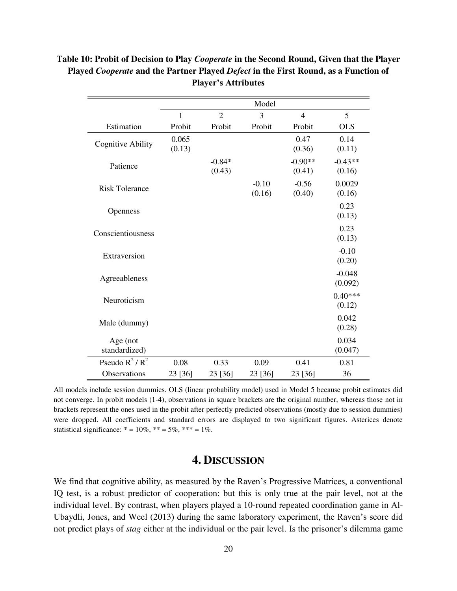|                           |                 |                    | Model             |                     |                     |
|---------------------------|-----------------|--------------------|-------------------|---------------------|---------------------|
|                           | $\mathbf{1}$    | $\overline{2}$     | 3                 | $\overline{4}$      | 5                   |
| Estimation                | Probit          | Probit             | Probit            | Probit              | <b>OLS</b>          |
| <b>Cognitive Ability</b>  | 0.065<br>(0.13) |                    |                   | 0.47<br>(0.36)      | 0.14<br>(0.11)      |
| Patience                  |                 | $-0.84*$<br>(0.43) |                   | $-0.90**$<br>(0.41) | $-0.43**$<br>(0.16) |
| <b>Risk Tolerance</b>     |                 |                    | $-0.10$<br>(0.16) | $-0.56$<br>(0.40)   | 0.0029<br>(0.16)    |
| Openness                  |                 |                    |                   |                     | 0.23<br>(0.13)      |
| Conscientiousness         |                 |                    |                   |                     | 0.23<br>(0.13)      |
| Extraversion              |                 |                    |                   |                     | $-0.10$<br>(0.20)   |
| Agreeableness             |                 |                    |                   |                     | $-0.048$<br>(0.092) |
| Neuroticism               |                 |                    |                   |                     | $0.40***$<br>(0.12) |
| Male (dummy)              |                 |                    |                   |                     | 0.042<br>(0.28)     |
| Age (not<br>standardized) |                 |                    |                   |                     | 0.034<br>(0.047)    |
| Pseudo $R^2/R^2$          | 0.08            | 0.33               | 0.09              | 0.41                | 0.81                |
| Observations              | 23 [36]         | 23 [36]            | 23 [36]           | 23 [36]             | 36                  |

### **Table 10: Probit of Decision to Play** *Cooperate* **in the Second Round, Given that the Player Played** *Cooperate* **and the Partner Played** *Defect* **in the First Round, as a Function of Player's Attributes**

All models include session dummies. OLS (linear probability model) used in Model 5 because probit estimates did not converge. In probit models (1-4), observations in square brackets are the original number, whereas those not in brackets represent the ones used in the probit after perfectly predicted observations (mostly due to session dummies) were dropped. All coefficients and standard errors are displayed to two significant figures. Asterices denote statistical significance:  $* = 10\%, ** = 5\%, *** = 1\%$ .

## **4. DISCUSSION**

We find that cognitive ability, as measured by the Raven's Progressive Matrices, a conventional IQ test, is a robust predictor of cooperation: but this is only true at the pair level, not at the individual level. By contrast, when players played a 10-round repeated coordination game in Al-Ubaydli, Jones, and Weel (2013) during the same laboratory experiment, the Raven's score did not predict plays of *stag* either at the individual or the pair level. Is the prisoner's dilemma game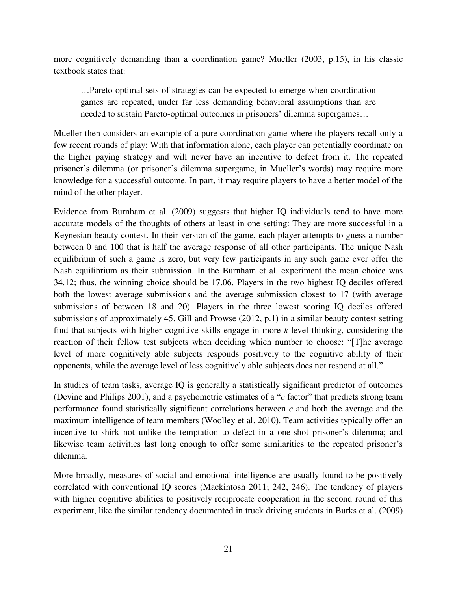more cognitively demanding than a coordination game? Mueller (2003, p.15), in his classic textbook states that:

…Pareto-optimal sets of strategies can be expected to emerge when coordination games are repeated, under far less demanding behavioral assumptions than are needed to sustain Pareto-optimal outcomes in prisoners' dilemma supergames…

Mueller then considers an example of a pure coordination game where the players recall only a few recent rounds of play: With that information alone, each player can potentially coordinate on the higher paying strategy and will never have an incentive to defect from it. The repeated prisoner's dilemma (or prisoner's dilemma supergame, in Mueller's words) may require more knowledge for a successful outcome. In part, it may require players to have a better model of the mind of the other player.

Evidence from Burnham et al. (2009) suggests that higher IQ individuals tend to have more accurate models of the thoughts of others at least in one setting: They are more successful in a Keynesian beauty contest. In their version of the game, each player attempts to guess a number between 0 and 100 that is half the average response of all other participants. The unique Nash equilibrium of such a game is zero, but very few participants in any such game ever offer the Nash equilibrium as their submission. In the Burnham et al. experiment the mean choice was 34.12; thus, the winning choice should be 17.06. Players in the two highest IQ deciles offered both the lowest average submissions and the average submission closest to 17 (with average submissions of between 18 and 20). Players in the three lowest scoring IQ deciles offered submissions of approximately 45. Gill and Prowse (2012, p.1) in a similar beauty contest setting find that subjects with higher cognitive skills engage in more *k*-level thinking, considering the reaction of their fellow test subjects when deciding which number to choose: "[T]he average level of more cognitively able subjects responds positively to the cognitive ability of their opponents, while the average level of less cognitively able subjects does not respond at all."

In studies of team tasks, average IQ is generally a statistically significant predictor of outcomes (Devine and Philips 2001), and a psychometric estimates of a "*c* factor" that predicts strong team performance found statistically significant correlations between *c* and both the average and the maximum intelligence of team members (Woolley et al. 2010). Team activities typically offer an incentive to shirk not unlike the temptation to defect in a one-shot prisoner's dilemma; and likewise team activities last long enough to offer some similarities to the repeated prisoner's dilemma.

More broadly, measures of social and emotional intelligence are usually found to be positively correlated with conventional IQ scores (Mackintosh 2011; 242, 246). The tendency of players with higher cognitive abilities to positively reciprocate cooperation in the second round of this experiment, like the similar tendency documented in truck driving students in Burks et al. (2009)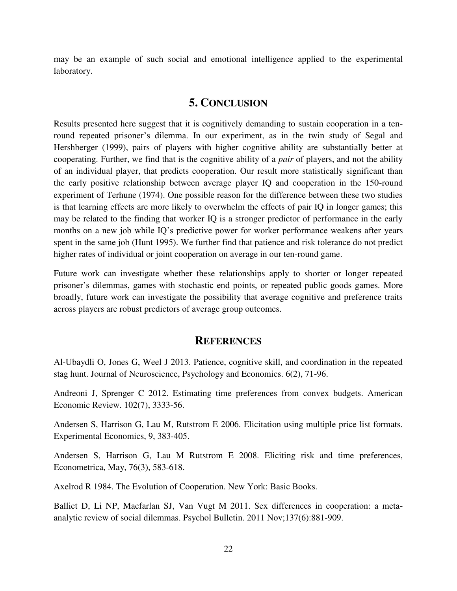may be an example of such social and emotional intelligence applied to the experimental laboratory.

#### **5. CONCLUSION**

Results presented here suggest that it is cognitively demanding to sustain cooperation in a tenround repeated prisoner's dilemma. In our experiment, as in the twin study of Segal and Hershberger (1999), pairs of players with higher cognitive ability are substantially better at cooperating. Further, we find that is the cognitive ability of a *pair* of players, and not the ability of an individual player, that predicts cooperation. Our result more statistically significant than the early positive relationship between average player IQ and cooperation in the 150-round experiment of Terhune (1974). One possible reason for the difference between these two studies is that learning effects are more likely to overwhelm the effects of pair IQ in longer games; this may be related to the finding that worker IQ is a stronger predictor of performance in the early months on a new job while IQ's predictive power for worker performance weakens after years spent in the same job (Hunt 1995). We further find that patience and risk tolerance do not predict higher rates of individual or joint cooperation on average in our ten-round game.

Future work can investigate whether these relationships apply to shorter or longer repeated prisoner's dilemmas, games with stochastic end points, or repeated public goods games. More broadly, future work can investigate the possibility that average cognitive and preference traits across players are robust predictors of average group outcomes.

#### **REFERENCES**

Al-Ubaydli O, Jones G, Weel J 2013. Patience, cognitive skill, and coordination in the repeated stag hunt. Journal of Neuroscience, Psychology and Economics. 6(2), 71-96.

Andreoni J, Sprenger C 2012. Estimating time preferences from convex budgets. American Economic Review. 102(7), 3333-56.

Andersen S, Harrison G, Lau M, Rutstrom E 2006. Elicitation using multiple price list formats. Experimental Economics, 9, 383-405.

Andersen S, Harrison G, Lau M Rutstrom E 2008. Eliciting risk and time preferences, Econometrica, May, 76(3), 583-618.

Axelrod R 1984. The Evolution of Cooperation. New York: Basic Books.

Balliet D, Li NP, Macfarlan SJ, Van Vugt M 2011. Sex differences in cooperation: a metaanalytic review of social dilemmas. Psychol Bulletin. 2011 Nov;137(6):881-909.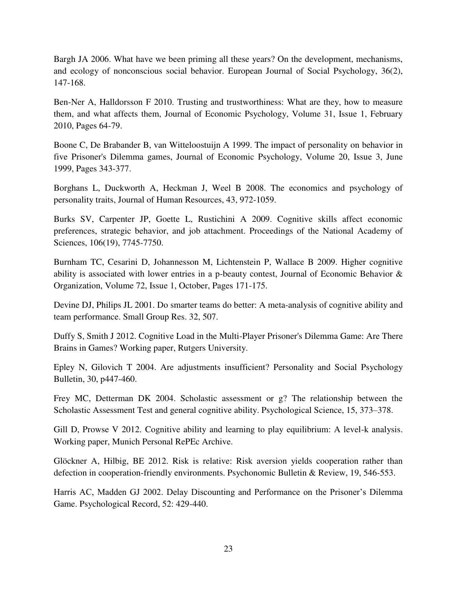Bargh JA 2006. What have we been priming all these years? On the development, mechanisms, and ecology of nonconscious social behavior. European Journal of Social Psychology, 36(2), 147-168.

Ben-Ner A, Halldorsson F 2010. Trusting and trustworthiness: What are they, how to measure them, and what affects them, Journal of Economic Psychology, Volume 31, Issue 1, February 2010, Pages 64-79.

Boone C, De Brabander B, van Witteloostuijn A 1999. The impact of personality on behavior in five Prisoner's Dilemma games, Journal of Economic Psychology, Volume 20, Issue 3, June 1999, Pages 343-377.

Borghans L, Duckworth A, Heckman J, Weel B 2008. The economics and psychology of personality traits, Journal of Human Resources, 43, 972-1059.

Burks SV, Carpenter JP, Goette L, Rustichini A 2009. Cognitive skills affect economic preferences, strategic behavior, and job attachment. Proceedings of the National Academy of Sciences, 106(19), 7745-7750.

Burnham TC, Cesarini D, Johannesson M, Lichtenstein P, Wallace B 2009. Higher cognitive ability is associated with lower entries in a p-beauty contest, Journal of Economic Behavior & Organization, Volume 72, Issue 1, October, Pages 171-175.

Devine DJ, Philips JL 2001. Do smarter teams do better: A meta-analysis of cognitive ability and team performance. Small Group Res. 32, 507.

Duffy S, Smith J 2012. Cognitive Load in the Multi-Player Prisoner's Dilemma Game: Are There Brains in Games? Working paper, Rutgers University.

Epley N, Gilovich T 2004. Are adjustments insufficient? Personality and Social Psychology Bulletin, 30, p447-460.

Frey MC, Detterman DK 2004. Scholastic assessment or g? The relationship between the Scholastic Assessment Test and general cognitive ability. Psychological Science, 15, 373–378.

Gill D, Prowse V 2012. Cognitive ability and learning to play equilibrium: A level-k analysis. Working paper, Munich Personal RePEc Archive.

Glöckner A, Hilbig, BE 2012. Risk is relative: Risk aversion yields cooperation rather than defection in cooperation-friendly environments. Psychonomic Bulletin & Review, 19, 546-553.

Harris AC, Madden GJ 2002. Delay Discounting and Performance on the Prisoner's Dilemma Game. Psychological Record, 52: 429-440.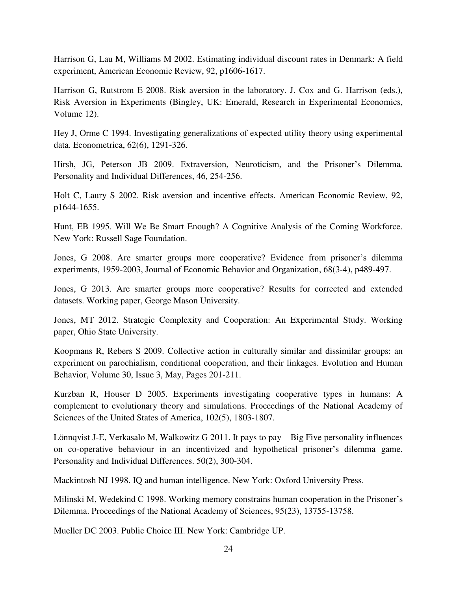Harrison G, Lau M, Williams M 2002. Estimating individual discount rates in Denmark: A field experiment, American Economic Review, 92, p1606-1617.

Harrison G, Rutstrom E 2008. Risk aversion in the laboratory. J. Cox and G. Harrison (eds.), Risk Aversion in Experiments (Bingley, UK: Emerald, Research in Experimental Economics, Volume 12).

Hey J, Orme C 1994. Investigating generalizations of expected utility theory using experimental data. Econometrica, 62(6), 1291-326.

Hirsh, JG, Peterson JB 2009. Extraversion, Neuroticism, and the Prisoner's Dilemma. Personality and Individual Differences, 46, 254-256.

Holt C, Laury S 2002. Risk aversion and incentive effects. American Economic Review, 92, p1644-1655.

Hunt, EB 1995. Will We Be Smart Enough? A Cognitive Analysis of the Coming Workforce. New York: Russell Sage Foundation.

Jones, G 2008. Are smarter groups more cooperative? Evidence from prisoner's dilemma experiments, 1959-2003, Journal of Economic Behavior and Organization, 68(3-4), p489-497.

Jones, G 2013. Are smarter groups more cooperative? Results for corrected and extended datasets. Working paper, George Mason University.

Jones, MT 2012. Strategic Complexity and Cooperation: An Experimental Study. Working paper, Ohio State University.

Koopmans R, Rebers S 2009. Collective action in culturally similar and dissimilar groups: an experiment on parochialism, conditional cooperation, and their linkages. Evolution and Human Behavior, Volume 30, Issue 3, May, Pages 201-211.

Kurzban R, Houser D 2005. Experiments investigating cooperative types in humans: A complement to evolutionary theory and simulations. Proceedings of the National Academy of Sciences of the United States of America, 102(5), 1803-1807.

Lönnqvist J-E, Verkasalo M, Walkowitz G 2011. It pays to pay – Big Five personality influences on co-operative behaviour in an incentivized and hypothetical prisoner's dilemma game. Personality and Individual Differences. 50(2), 300-304.

Mackintosh NJ 1998. IQ and human intelligence. New York: Oxford University Press.

Milinski M, Wedekind C 1998. Working memory constrains human cooperation in the Prisoner's Dilemma. Proceedings of the National Academy of Sciences, 95(23), 13755-13758.

Mueller DC 2003. Public Choice III. New York: Cambridge UP.